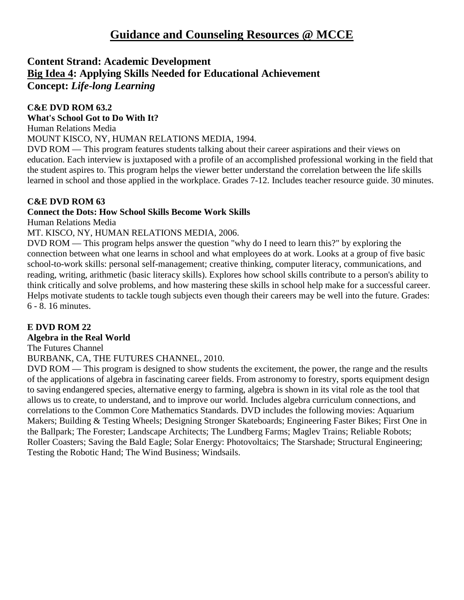# **Content Strand: Academic Development Big Idea 4: Applying Skills Needed for Educational Achievement Concept:** *Life-long Learning*

# **C&E DVD ROM 63.2**

**What's School Got to Do With It?**

Human Relations Media

MOUNT KISCO, NY, HUMAN RELATIONS MEDIA, 1994.

DVD ROM — This program features students talking about their career aspirations and their views on education. Each interview is juxtaposed with a profile of an accomplished professional working in the field that the student aspires to. This program helps the viewer better understand the correlation between the life skills learned in school and those applied in the workplace. Grades 7-12. Includes teacher resource guide. 30 minutes.

# **C&E DVD ROM 63**

# **Connect the Dots: How School Skills Become Work Skills**

Human Relations Media

MT. KISCO, NY, HUMAN RELATIONS MEDIA, 2006.

DVD ROM — This program helps answer the question "why do I need to learn this?" by exploring the connection between what one learns in school and what employees do at work. Looks at a group of five basic school-to-work skills: personal self-management; creative thinking, computer literacy, communications, and reading, writing, arithmetic (basic literacy skills). Explores how school skills contribute to a person's ability to think critically and solve problems, and how mastering these skills in school help make for a successful career. Helps motivate students to tackle tough subjects even though their careers may be well into the future. Grades: 6 - 8. 16 minutes.

# **E DVD ROM 22**

## **Algebra in the Real World**

The Futures Channel

BURBANK, CA, THE FUTURES CHANNEL, 2010.

DVD ROM — This program is designed to show students the excitement, the power, the range and the results of the applications of algebra in fascinating career fields. From astronomy to forestry, sports equipment design to saving endangered species, alternative energy to farming, algebra is shown in its vital role as the tool that allows us to create, to understand, and to improve our world. Includes algebra curriculum connections, and correlations to the Common Core Mathematics Standards. DVD includes the following movies: Aquarium Makers; Building & Testing Wheels; Designing Stronger Skateboards; Engineering Faster Bikes; First One in the Ballpark; The Forester; Landscape Architects; The Lundberg Farms; Maglev Trains; Reliable Robots; Roller Coasters; Saving the Bald Eagle; Solar Energy: Photovoltaics; The Starshade; Structural Engineering; Testing the Robotic Hand; The Wind Business; Windsails.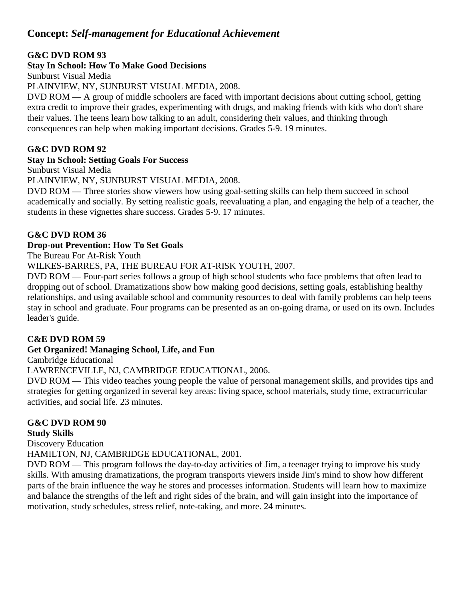# **Concept:** *Self-management for Educational Achievement*

## **G&C DVD ROM 93**

## **Stay In School: How To Make Good Decisions**

Sunburst Visual Media

PLAINVIEW, NY, SUNBURST VISUAL MEDIA, 2008.

DVD ROM — A group of middle schoolers are faced with important decisions about cutting school, getting extra credit to improve their grades, experimenting with drugs, and making friends with kids who don't share their values. The teens learn how talking to an adult, considering their values, and thinking through consequences can help when making important decisions. Grades 5-9. 19 minutes.

# **G&C DVD ROM 92**

## **Stay In School: Setting Goals For Success**

Sunburst Visual Media

PLAINVIEW, NY, SUNBURST VISUAL MEDIA, 2008.

DVD ROM — Three stories show viewers how using goal-setting skills can help them succeed in school academically and socially. By setting realistic goals, reevaluating a plan, and engaging the help of a teacher, the students in these vignettes share success. Grades 5-9. 17 minutes.

# **G&C DVD ROM 36**

# **Drop-out Prevention: How To Set Goals**

The Bureau For At-Risk Youth

WILKES-BARRES, PA, THE BUREAU FOR AT-RISK YOUTH, 2007.

DVD ROM — Four-part series follows a group of high school students who face problems that often lead to dropping out of school. Dramatizations show how making good decisions, setting goals, establishing healthy relationships, and using available school and community resources to deal with family problems can help teens stay in school and graduate. Four programs can be presented as an on-going drama, or used on its own. Includes leader's guide.

## **C&E DVD ROM 59**

# **Get Organized! Managing School, Life, and Fun**

Cambridge Educational

LAWRENCEVILLE, NJ, CAMBRIDGE EDUCATIONAL, 2006.

DVD ROM — This video teaches young people the value of personal management skills, and provides tips and strategies for getting organized in several key areas: living space, school materials, study time, extracurricular activities, and social life. 23 minutes.

#### **G&C DVD ROM 90 Study Skills**

Discovery Education

HAMILTON, NJ, CAMBRIDGE EDUCATIONAL, 2001.

DVD ROM — This program follows the day-to-day activities of Jim, a teenager trying to improve his study skills. With amusing dramatizations, the program transports viewers inside Jim's mind to show how different parts of the brain influence the way he stores and processes information. Students will learn how to maximize and balance the strengths of the left and right sides of the brain, and will gain insight into the importance of motivation, study schedules, stress relief, note-taking, and more. 24 minutes.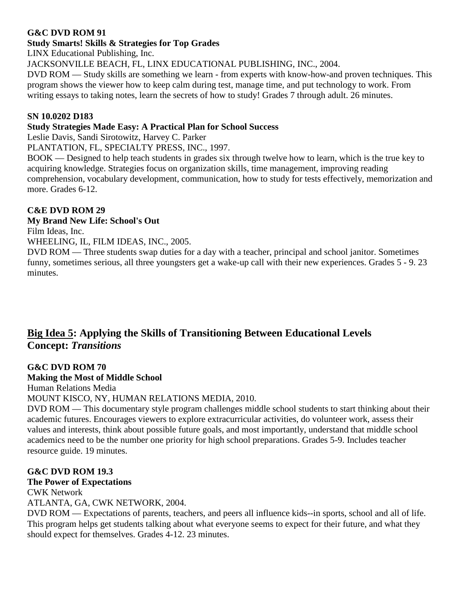## **G&C DVD ROM 91**

#### **Study Smarts! Skills & Strategies for Top Grades**

LINX Educational Publishing, Inc.

JACKSONVILLE BEACH, FL, LINX EDUCATIONAL PUBLISHING, INC., 2004.

DVD ROM — Study skills are something we learn - from experts with know-how-and proven techniques. This program shows the viewer how to keep calm during test, manage time, and put technology to work. From writing essays to taking notes, learn the secrets of how to study! Grades 7 through adult. 26 minutes.

#### **SN 10.0202 D183**

#### **Study Strategies Made Easy: A Practical Plan for School Success**

Leslie Davis, Sandi Sirotowitz, Harvey C. Parker

PLANTATION, FL, SPECIALTY PRESS, INC., 1997.

BOOK — Designed to help teach students in grades six through twelve how to learn, which is the true key to acquiring knowledge. Strategies focus on organization skills, time management, improving reading comprehension, vocabulary development, communication, how to study for tests effectively, memorization and more. Grades 6-12.

## **C&E DVD ROM 29**

#### **My Brand New Life: School's Out**

Film Ideas, Inc.

WHEELING, IL, FILM IDEAS, INC., 2005.

DVD ROM — Three students swap duties for a day with a teacher, principal and school janitor. Sometimes funny, sometimes serious, all three youngsters get a wake-up call with their new experiences. Grades 5 - 9. 23 minutes.

# **Big Idea 5: Applying the Skills of Transitioning Between Educational Levels Concept:** *Transitions*

#### **G&C DVD ROM 70**

## **Making the Most of Middle School**

Human Relations Media

MOUNT KISCO, NY, HUMAN RELATIONS MEDIA, 2010.

DVD ROM — This documentary style program challenges middle school students to start thinking about their academic futures. Encourages viewers to explore extracurricular activities, do volunteer work, assess their values and interests, think about possible future goals, and most importantly, understand that middle school academics need to be the number one priority for high school preparations. Grades 5-9. Includes teacher resource guide. 19 minutes.

## **G&C DVD ROM 19.3**

#### **The Power of Expectations**

CWK Network ATLANTA, GA, CWK NETWORK, 2004.

DVD ROM — Expectations of parents, teachers, and peers all influence kids--in sports, school and all of life. This program helps get students talking about what everyone seems to expect for their future, and what they should expect for themselves. Grades 4-12. 23 minutes.